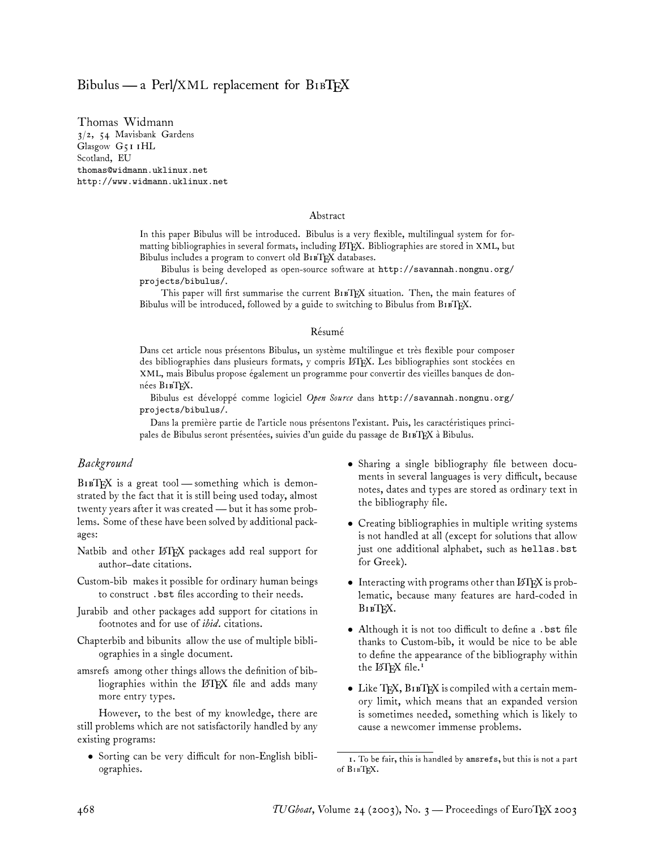# Bibulus — a Perl/XML replacement for  $B_1B T_F X$

Thomas Widmann 3/2, 54 Mavisbank Gardens Glasgow G51 1HL Scotland, EU thomas@widmann.uklinux.net http://www.widmann.uklinux.net

#### Abstract

In this paper Bibulus will be introduced. Bibulus is a very flexible, multilingual system for formatting bibliographies in several formats, including LATEX. Bibliographies are stored in XML, but Bibulus includes a program to convert old BIBTEX databases.

Bibulus is being developed as open-source software at http://savannah.nongnu.org/ projects/bibulus/.

This paper will first summarise the current B1BTEX situation. Then, the main features of Bibulus will be introduced, followed by a guide to switching to Bibulus from  $B1BK$ .

#### Résumé

Dans cet article nous présentons Bibulus, un système multilingue et très flexible pour composer des bibliographies dans plusieurs formats, y compris LATEX. Les bibliographies sont stockées en XML, mais Bibulus propose également un programme pour convertir des vieilles banques de données BIBTEX.

Bibulus est développé comme logiciel *Open Source* dans http://savannah.nongnu.org/ projects/bibulus/.

Dans la première partie de l'article nous présentons l'existant. Puis, les caractéristiques principales de Bibulus seront présentées, suivies d'un guide du passage de BIBTEX à Bibulus.

## *Background*

BIBTEX is a great tool — something which is demonstrated by the fact that it is still being used today, almost twenty years after it was created— but it has some problems. Some of these have been solved by additional packages:

- Natbib and other LATEX packages add real support for author–date citations.
- Custom-bib makes it possible for ordinary human beings to construct .bst files according to their needs.
- Jurabib and other packages add support for citations in footnotes and for use of *ibid.* citations.
- Chapterbib and bibunits allow the use of multiple bibliographies in a single document.
- amsrefs among other things allows the definition of bibliographies within the LATEX file and adds many more entry types.

However, to the best of my knowledge, there are still problems which are not satisfactorily handled by any existing programs:

• Sorting can be very difficult for non-English bibliographies.

- Sharing a single bibliography file between documents in several languages is very difficult, because notes, dates and types are stored as ordinary text in the bibliography file.
- Creating bibliographies in multiple writing systems is not handled at all (except for solutions that allow just one additional alphabet, such as hellas.bst for Greek).
- Interacting with programs other than  $\mathbb{E} T_F X$  is problematic, because many features are hard-coded in **B**<sub>I</sub>B<sub>I</sub><sub>E</sub>X</sub>.
- Although it is not too difficult to define a .bst file thanks to Custom-bib, it would be nice to be able to define the appearance of the bibliography within the  $LAT$ <sub>EX</sub> file.<sup>1</sup>
- Like TEX, B1BTEX is compiled with a certain memory limit, which means that an expanded version is sometimes needed, something which is likely to cause a newcomer immense problems.

<sup>1.</sup> To be fair, this is handled by amsrefs, but this is not a part of BIBTEX.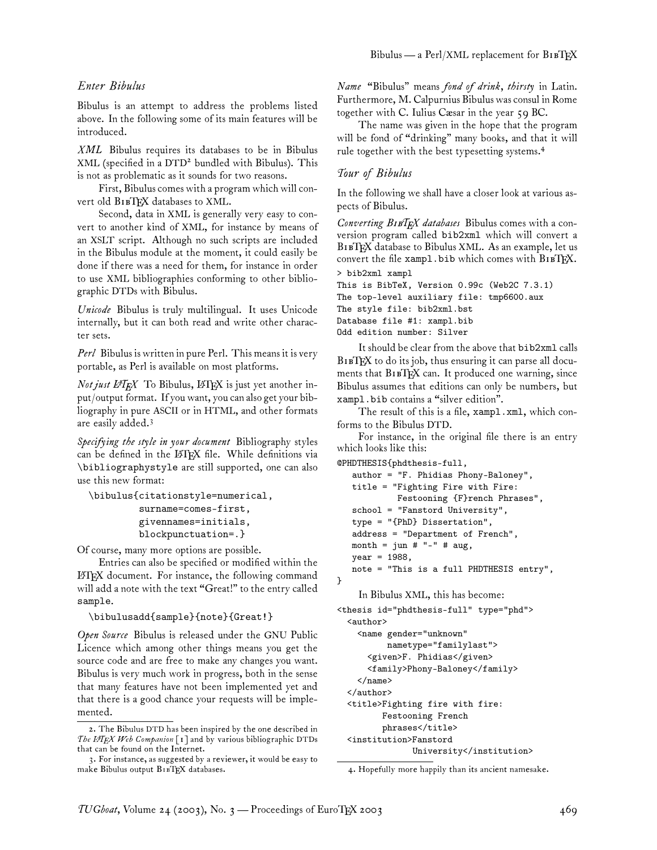## *Enter Bibulus*

Bibulus is an attempt to address the problems listed above. In the following some of its main features will be introduced.

*XML* Bibulus requires its databases to be in Bibulus XML (specified in a DTD<sup>2</sup> bundled with Bibulus). This is not as problematic as it sounds for two reasons.

First, Bibulus comes with a program which will convert old BIBTEX databases to XML.

Second, data in XML is generally very easy to convert to another kind of XML, for instance by means of an XSLT script. Although no such scripts are included in the Bibulus module at the moment, it could easily be done if there was a need for them, for instance in order to use XML bibliographies conforming to other bibliographic DTDs with Bibulus.

*Unicode* Bibulus is truly multilingual. It uses Unicode internally, but it can both read and write other character sets.

*Perl* Bibulus is written in pure Perl. This means it is very portable, as Perl is available on most platforms.

*Not just L<sup>A</sup>TEX* To Bibulus, LATEX is just yet another input/output format. If you want, you can also get your bibliography in pure ASCII or in HTML, and other formats are easily added.<sup>3</sup>

*Specifying the style in your document* Bibliography styles can be defined in the LATEX file. While definitions via \bibliographystyle are still supported, one can also use this new format:

```
\bibulus{citationstyle=numerical,
         surname=comes-first,
         givennames=initials,
         blockpunctuation=.}
```
Of course, many more options are possible.

Entries can also be specified or modified within the LATEX document. For instance, the following command will add a note with the text "Great!" to the entry called sample.

#### \bibulusadd{sample}{note}{Great!}

*Open Source* Bibulus is released under the GNU Public Licence which among other things means you get the source code and are free to make any changes you want. Bibulus is very much work in progress, both in the sense that many features have not been implemented yet and that there is a good chance your requests will be implemented.

*Name* "Bibulus" means *fond of drink, thirsty* in Latin. Furthermore, M. Calpurnius Bibulus was consul in Rome together with C. Iulius Cæsar in the year 59 BC.

The name was given in the hope that the program will be fond of "drinking" many books, and that it will rule together with the best typesetting systems.<sup>4</sup>

#### *Tour of Bibulus*

In the following we shall have a closer look at various aspects of Bibulus.

*Converting* B*TEX databases* Bibulus comes with a conversion program called bib2xml which will convert a BIBTEX database to Bibulus XML. As an example, let us convert the file xampl.bib which comes with  $B1BTKX$ .

```
> bib2xml xampl
This is BibTeX, Version 0.99c (Web2C 7.3.1)
The top-level auxiliary file: tmp6600.aux
The style file: bib2xml.bst
Database file #1: xampl.bib
Odd edition number: Silver
```
It should be clear from the above that bib2xml calls BIBTEX to do its job, thus ensuring it can parse all documents that BIBTEX can. It produced one warning, since Bibulus assumes that editions can only be numbers, but xampl.bib contains a "silver edition".

The result of this is a file, xampl.xml, which conforms to the Bibulus DTD.

For instance, in the original file there is an entry which looks like this:

```
@PHDTHESIS{phdthesis-full,
```

```
author = "F. Phidias Phony-Baloney",
  title = "Fighting Fire with Fire:
           Festooning {F}rench Phrases",
   school = "Fanstord University",
   type = "{PhD} Dissertation",
   address = "Department of French",
  month = jun # "-" # aug,
  year = 1988,note = "This is a full PHDTHESIS entry",
}
```
### In Bibulus XML, this has become:

```
<thesis id="phdthesis-full" type="phd">
  <author>
    <name gender="unknown"
          nametype="familylast">
      <given>F. Phidias</given>
      <family>Phony-Baloney</family>
    \langle/name\rangle</author>
  <title>Fighting fire with fire:
         Festooning French
         phrases</title>
  <institution>Fanstord
               University</institution>
```
4. Hopefully more happily than its ancient namesake.

<sup>2.</sup> The Bibulus DTD has been inspired by the one described in *The LATEX Web Companion* [1] and by various bibliographic DTDs that can be found on the Internet.

<sup>3.</sup> For instance, as suggested by a reviewer, it would be easy to make Bibulus output BIBTEX databases.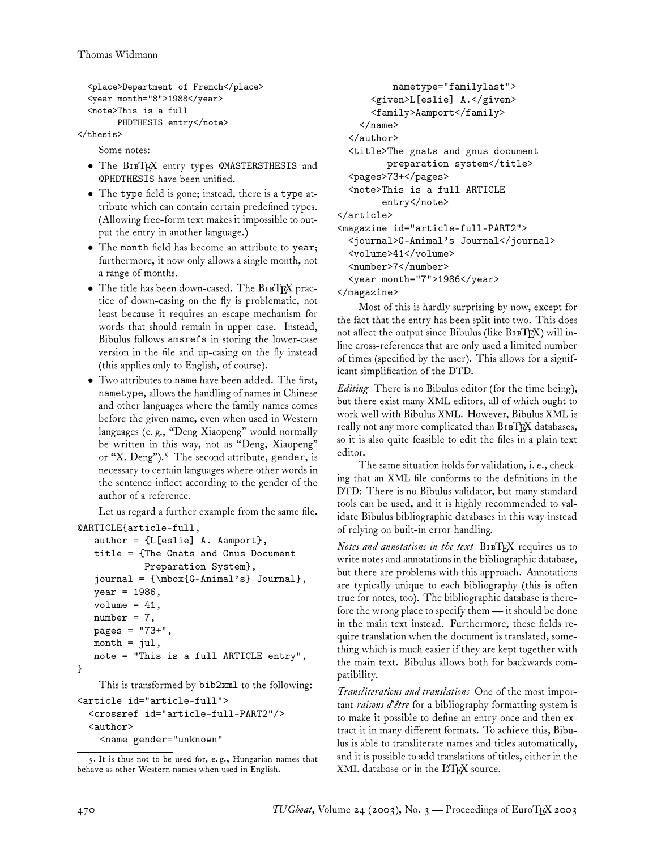```
<place>Department of French</place>
<year month="8">1988</year>
<note>This is a full
     PHDTHESIS entry</note>
```
</thesis>

Some notes:

- The BIBTEX entry types @MASTERSTHESIS and @PHDTHESIS have been unified.
- The type field is gone; instead, there is a type attribute which can contain certain predefined types. (Allowing free-form text makes it impossible to output the entry in another language.)
- The month field has become an attribute to year; furthermore, it now only allows a single month, not a range of months.
- The title has been down-cased. The BIBTEX practice of down-casing on the fly is problematic, not least because it requires an escape mechanism for words that should remain in upper case. Instead, Bibulus follows amsrefs in storing the lower-case version in the file and up-casing on the fly instead (this applies only to English, of course).
- Two attributes to name have been added. The first, nametype, allows the handling of names in Chinese and other languages where the family names comes before the given name, even when used in Western languages (e. g., "Deng Xiaopeng" would normally be written in this way, not as "Deng, Xiaopeng" or "X. Deng").<sup>5</sup> The second attribute, gender, is necessary to certain languages where other words in the sentence inflect according to the gender of the author of a reference.

Let us regard a further example from the same file.

```
@ARTICLE{article-full,
```

```
author = {L[eslie]} A. Aamport,
title = {The Gnats and Gnus Document
         Preparation System},
journal = {\mbox{G-Animal's} Journal},
year = 1986,
volume = 41,
number = 7,
pages = "73+",month = jul,
note = "This is a full ARTICLE entry",
```
This is transformed by bib2xml to the following:

```
<article id="article-full">
  <crossref id="article-full-PART2"/>
  <author>
    <name gender="unknown"
```

```
nametype="familylast">
      <given>L[eslie] A.</given>
      <family>Aamport</family>
    \langle/name\rangle</author>
 <title>The gnats and gnus document
         preparation system</title>
 <pages>73+</pages>
 <note>This is a full ARTICLE
        entry</note>
</article>
<magazine id="article-full-PART2">
 <journal>G-Animal's Journal</journal>
 <volume>41</volume>
  <number>7</number>
 <year month="7">1986</year>
</magazine>
```
Most of this is hardly surprising by now, except for the fact that the entry has been split into two. This does not affect the output since Bibulus (like  $B1BTRX$ ) will inline cross-references that are only used a limited number of times (specified by the user). This allows for a significant simplification of the DTD.

*Editing* There is no Bibulus editor (for the time being), but there exist many XML editors, all of which ought to work well with Bibulus XML. However, Bibulus XML is really not any more complicated than B1BTEX databases, so it is also quite feasible to edit the files in a plain text editor.

The same situation holds for validation, i. e., checking that an XML file conforms to the definitions in the DTD: There is no Bibulus validator, but many standard tools can be used, and it is highly recommended to validate Bibulus bibliographic databases in this way instead of relying on built-in error handling.

*Notes and annotations in the text* BIBTEX requires us to write notes and annotations in the bibliographic database, but there are problems with this approach. Annotations are typically unique to each bibliography (this is often true for notes, too). The bibliographic database is therefore the wrong place to specify them— it should be done in the main text instead. Furthermore, these fields require translation when the document is translated, something which is much easier if they are kept together with the main text. Bibulus allows both for backwards compatibility.

*Transliterations and translations* One of the most important *raisons d'être* for a bibliography formatting system is to make it possible to define an entry once and then extract it in many different formats. To achieve this, Bibulus is able to transliterate names and titles automatically, and it is possible to add translations of titles, either in the XML database or in the LATEX source.

}

<sup>5.</sup> It is thus not to be used for, e. g., Hungarian names that behave as other Western names when used in English.